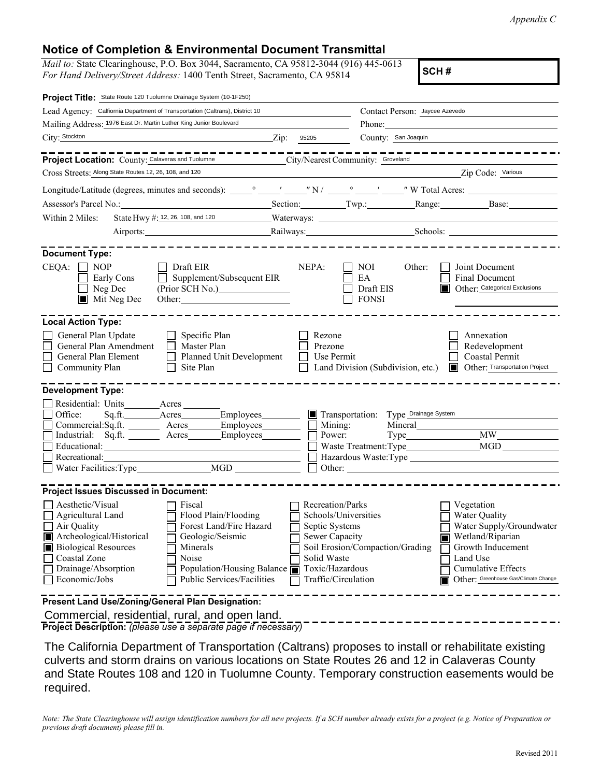*Appendix C*

## **Notice of Completion & Environmental Document Transmittal**

*Mail to:* State Clearinghouse, P.O. Box 3044, Sacramento, CA 95812-3044 (916) 445-0613 *For Hand Delivery/Street Address:* 1400 Tenth Street, Sacramento, CA 95814 **SCH #** 

| Project Title: State Route 120 Tuolumne Drainage System (10-1F250)                                                                                                                                                                                                                                                                                                                                                     |                                                                                                                                                                                                                                |                                                  |                                                                                                                                                                            |
|------------------------------------------------------------------------------------------------------------------------------------------------------------------------------------------------------------------------------------------------------------------------------------------------------------------------------------------------------------------------------------------------------------------------|--------------------------------------------------------------------------------------------------------------------------------------------------------------------------------------------------------------------------------|--------------------------------------------------|----------------------------------------------------------------------------------------------------------------------------------------------------------------------------|
| Lead Agency: Calfiornia Department of Transportation (Caltrans), District 10                                                                                                                                                                                                                                                                                                                                           |                                                                                                                                                                                                                                | Contact Person: Jaycee Azevedo                   |                                                                                                                                                                            |
| Mailing Address: 1976 East Dr. Martin Luther King Junior Boulevard                                                                                                                                                                                                                                                                                                                                                     | Phone: 2008 Contract Contract Contract Contract Contract Contract Contract Contract Contract Contract Contract Contract Contract Contract Contract Contract Contract Contract Contract Contract Contract Contract Contract Con |                                                  |                                                                                                                                                                            |
| City: Stockton<br>$\mathbf{Zip:}$                                                                                                                                                                                                                                                                                                                                                                                      | 95205                                                                                                                                                                                                                          | County: San Joaquin                              |                                                                                                                                                                            |
| -------<br><b>Project Location:</b> County: Calaveras and Tuolumne                                                                                                                                                                                                                                                                                                                                                     | City/Nearest Community: Groveland                                                                                                                                                                                              |                                                  | ----------------                                                                                                                                                           |
| Cross Streets: Along State Routes 12, 26, 108, and 120                                                                                                                                                                                                                                                                                                                                                                 |                                                                                                                                                                                                                                |                                                  | Zip Code: Various                                                                                                                                                          |
|                                                                                                                                                                                                                                                                                                                                                                                                                        |                                                                                                                                                                                                                                |                                                  |                                                                                                                                                                            |
| Assessor's Parcel No.: Section: Section: Twp.: Range: Base: Base: Base:                                                                                                                                                                                                                                                                                                                                                |                                                                                                                                                                                                                                |                                                  |                                                                                                                                                                            |
| State Hwy #: 12, 26, 108, and 120 Waterways: Waterways:<br>Within 2 Miles:                                                                                                                                                                                                                                                                                                                                             |                                                                                                                                                                                                                                |                                                  |                                                                                                                                                                            |
| Airports: Railways: Railways: Schools: Containers and Schools: Containers and Schools: Containers and Definition and Definition and Definition and Definition and Definition and Definition and Definition and Definition and                                                                                                                                                                                          |                                                                                                                                                                                                                                |                                                  |                                                                                                                                                                            |
|                                                                                                                                                                                                                                                                                                                                                                                                                        |                                                                                                                                                                                                                                |                                                  |                                                                                                                                                                            |
| <b>Document Type:</b><br>CEQA:<br>Draft EIR<br>NOP<br>Supplement/Subsequent EIR<br>Early Cons<br>Neg Dec<br>(Prior SCH No.)<br>Mit Neg Dec<br>Other:                                                                                                                                                                                                                                                                   | NEPA:                                                                                                                                                                                                                          | NOI<br>Other:<br>EA<br>Draft EIS<br><b>FONSI</b> | Joint Document<br><b>Final Document</b><br>Other: Categorical Exclusions                                                                                                   |
| <b>Local Action Type:</b>                                                                                                                                                                                                                                                                                                                                                                                              |                                                                                                                                                                                                                                |                                                  |                                                                                                                                                                            |
| General Plan Update<br>$\Box$ Specific Plan<br>General Plan Amendment<br>Master Plan<br>Planned Unit Development<br>General Plan Element<br>Community Plan<br>П<br>Site Plan                                                                                                                                                                                                                                           | Rezone<br>Prezone<br>Use Permit                                                                                                                                                                                                | Land Division (Subdivision, etc.)                | Annexation<br>Redevelopment<br><b>Coastal Permit</b><br>Other: Transportation Project<br>In                                                                                |
| <b>Development Type:</b>                                                                                                                                                                                                                                                                                                                                                                                               |                                                                                                                                                                                                                                |                                                  |                                                                                                                                                                            |
| Office: Sq.ft. Acres Employees<br>Commercial:Sq.ft. ________ Acres_______Employees_________<br>Industrial: Sq.ft. _______ Acres ______ Employees _______<br>Educational: <u>Contractional</u><br>Recreational:                                                                                                                                                                                                         | Power:                                                                                                                                                                                                                         | Transportation: Type Drainage System<br>Mining:  | MGD<br>Other:                                                                                                                                                              |
| <b>Project Issues Discussed in Document:</b>                                                                                                                                                                                                                                                                                                                                                                           |                                                                                                                                                                                                                                |                                                  |                                                                                                                                                                            |
| Aesthetic/Visual<br>Fiscal<br>Flood Plain/Flooding<br>Agricultural Land<br>□ Forest Land/Fire Hazard<br>$\Box$ Air Quality<br>Geologic/Seismic<br>Archeological/Historical<br><b>Biological Resources</b><br>Minerals<br>Coastal Zone<br>Noise<br>Drainage/Absorption<br>Population/Housing Balance $\blacksquare$<br>Economic/Jobs<br>Public Services/Facilities<br>Present Land Use/Zoning/General Plan Designation: | Recreation/Parks<br>Schools/Universities<br>Septic Systems<br>Sewer Capacity<br>Solid Waste<br>Toxic/Hazardous<br>Traffic/Circulation                                                                                          | Soil Erosion/Compaction/Grading                  | Vegetation<br>Water Quality<br>Water Supply/Groundwater<br>Wetland/Riparian<br>Growth Inducement<br>Land Use<br>Cumulative Effects<br>Other: Greenhouse Gas/Climate Change |
| Commercial, residential, rural, and open land.                                                                                                                                                                                                                                                                                                                                                                         |                                                                                                                                                                                                                                |                                                  |                                                                                                                                                                            |

**Project Description:** *(please use a separate page if necessary)*

The California Department of Transportation (Caltrans) proposes to install or rehabilitate existing culverts and storm drains on various locations on State Routes 26 and 12 in Calaveras County and State Routes 108 and 120 in Tuolumne County. Temporary construction easements would be required.

*Note: The State Clearinghouse will assign identification numbers for all new projects. If a SCH number already exists for a project (e.g. Notice of Preparation or previous draft document) please fill in.*